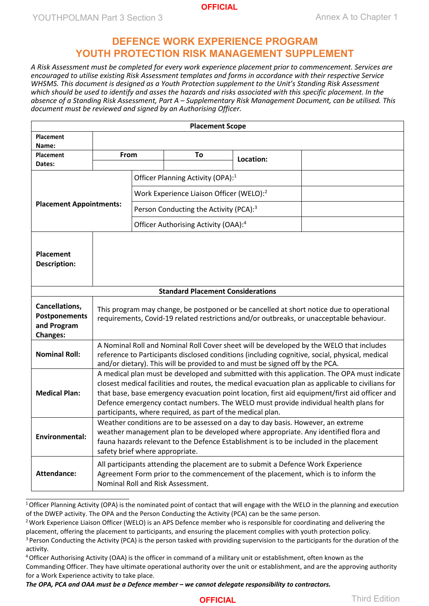### **OFFICIAL**

YOUTHPOLMAN Part 3 Section 3 Annex A to Chapter 1

## **DEFENCE WORK EXPERIENCE PROGRAM YOUTH PROTECTION RISK MANAGEMENT SUPPLEMENT**

*A Risk Assessment must be completed for every work experience placement prior to commencement. Services are encouraged to utilise existing Risk Assessment templates and forms in accordance with their respective Service WHSMS. This document is designed as a Youth Protection supplement to the Unit's Standing Risk Assessment which should be used to identify and asses the hazards and risks associated with this specific placement. In the absence of a Standing Risk Assessment, Part A – Supplementary Risk Management Document, can be utilised. This document must be reviewed and signed by an Authorising Officer.*

|                                                                          |      |                                                                                                                                                                                                                                                                                                                                                                                                                                                          | <b>Placement Scope</b>                             |           |  |  |  |
|--------------------------------------------------------------------------|------|----------------------------------------------------------------------------------------------------------------------------------------------------------------------------------------------------------------------------------------------------------------------------------------------------------------------------------------------------------------------------------------------------------------------------------------------------------|----------------------------------------------------|-----------|--|--|--|
| <b>Placement</b>                                                         |      |                                                                                                                                                                                                                                                                                                                                                                                                                                                          |                                                    |           |  |  |  |
| Name:<br><b>Placement</b>                                                | From |                                                                                                                                                                                                                                                                                                                                                                                                                                                          |                                                    |           |  |  |  |
| Dates:                                                                   |      |                                                                                                                                                                                                                                                                                                                                                                                                                                                          | To                                                 | Location: |  |  |  |
|                                                                          |      |                                                                                                                                                                                                                                                                                                                                                                                                                                                          |                                                    |           |  |  |  |
|                                                                          |      |                                                                                                                                                                                                                                                                                                                                                                                                                                                          | Officer Planning Activity (OPA): <sup>1</sup>      |           |  |  |  |
|                                                                          |      |                                                                                                                                                                                                                                                                                                                                                                                                                                                          | Work Experience Liaison Officer (WELO):2           |           |  |  |  |
| <b>Placement Appointments:</b>                                           |      |                                                                                                                                                                                                                                                                                                                                                                                                                                                          | Person Conducting the Activity (PCA): <sup>3</sup> |           |  |  |  |
|                                                                          |      |                                                                                                                                                                                                                                                                                                                                                                                                                                                          | Officer Authorising Activity (OAA): <sup>4</sup>   |           |  |  |  |
| <b>Placement</b><br><b>Description:</b>                                  |      |                                                                                                                                                                                                                                                                                                                                                                                                                                                          |                                                    |           |  |  |  |
|                                                                          |      |                                                                                                                                                                                                                                                                                                                                                                                                                                                          | <b>Standard Placement Considerations</b>           |           |  |  |  |
| Cancellations,<br><b>Postponements</b><br>and Program<br><b>Changes:</b> |      | This program may change, be postponed or be cancelled at short notice due to operational<br>requirements, Covid-19 related restrictions and/or outbreaks, or unacceptable behaviour.                                                                                                                                                                                                                                                                     |                                                    |           |  |  |  |
| <b>Nominal Roll:</b>                                                     |      | A Nominal Roll and Nominal Roll Cover sheet will be developed by the WELO that includes<br>reference to Participants disclosed conditions (including cognitive, social, physical, medical<br>and/or dietary). This will be provided to and must be signed off by the PCA.                                                                                                                                                                                |                                                    |           |  |  |  |
| <b>Medical Plan:</b>                                                     |      | A medical plan must be developed and submitted with this application. The OPA must indicate<br>closest medical facilities and routes, the medical evacuation plan as applicable to civilians for<br>that base, base emergency evacuation point location, first aid equipment/first aid officer and<br>Defence emergency contact numbers. The WELO must provide individual health plans for<br>participants, where required, as part of the medical plan. |                                                    |           |  |  |  |
| Environmental:                                                           |      | Weather conditions are to be assessed on a day to day basis. However, an extreme<br>weather management plan to be developed where appropriate. Any identified flora and<br>fauna hazards relevant to the Defence Establishment is to be included in the placement<br>safety brief where appropriate.                                                                                                                                                     |                                                    |           |  |  |  |
| <b>Attendance:</b>                                                       |      | All participants attending the placement are to submit a Defence Work Experience<br>Agreement Form prior to the commencement of the placement, which is to inform the<br>Nominal Roll and Risk Assessment.                                                                                                                                                                                                                                               |                                                    |           |  |  |  |

<span id="page-0-1"></span><span id="page-0-0"></span> $1$ Officer Planning Activity (OPA) is the nominated point of contact that will engage with the WELO in the planning and execution of the DWEP activity. The OPA and the Person Conducting the Activity (PCA) can be the same person.

<sup>2</sup> Work Experience Liaison Officer (WELO) is an APS Defence member who is responsible for coordinating and delivering the placement, offering the placement to participants, and ensuring the placement complies with youth protection policy.

<span id="page-0-3"></span><span id="page-0-2"></span><sup>3</sup> Person Conducting the Activity (PCA) is the person tasked with providing supervision to the participants for the duration of the activity.

<sup>4</sup> Officer Authorising Activity (OAA) is the officer in command of a military unit or establishment, often known as the Commanding Officer. They have ultimate operational authority over the unit or establishment, and are the approving authority for a Work Experience activity to take place.

*The OPA, PCA and OAA must be a Defence member – we cannot delegate responsibility to contractors.*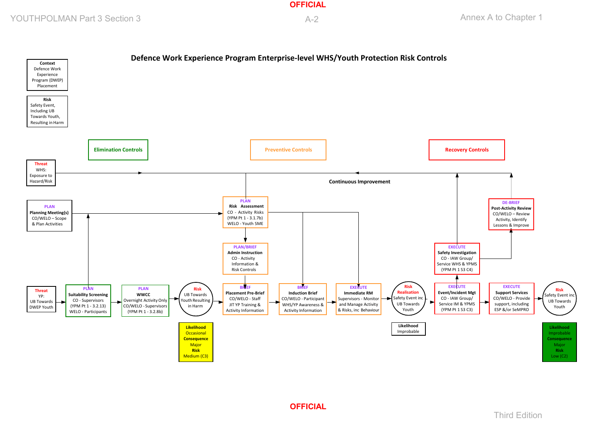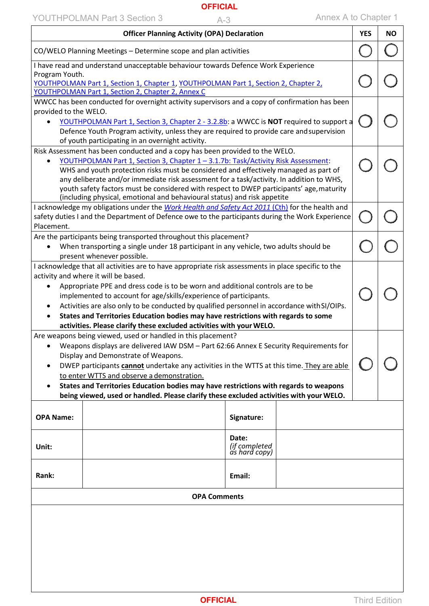# YOUTHPOLMAN Part 3 Section 3 A-3 Annex A to Chapter 1

|                                                                                                                                                                                                                                                                                                                                                                                                                                                                                                                                                                                                         | <b>Officer Planning Activity (OPA) Declaration</b>                                                                                                                                                                                                                                                                                                                                                                                                                                                                            |                                         |  | <b>YES</b> | <b>NO</b> |
|---------------------------------------------------------------------------------------------------------------------------------------------------------------------------------------------------------------------------------------------------------------------------------------------------------------------------------------------------------------------------------------------------------------------------------------------------------------------------------------------------------------------------------------------------------------------------------------------------------|-------------------------------------------------------------------------------------------------------------------------------------------------------------------------------------------------------------------------------------------------------------------------------------------------------------------------------------------------------------------------------------------------------------------------------------------------------------------------------------------------------------------------------|-----------------------------------------|--|------------|-----------|
|                                                                                                                                                                                                                                                                                                                                                                                                                                                                                                                                                                                                         | CO/WELO Planning Meetings - Determine scope and plan activities                                                                                                                                                                                                                                                                                                                                                                                                                                                               |                                         |  |            |           |
| Program Youth.                                                                                                                                                                                                                                                                                                                                                                                                                                                                                                                                                                                          | I have read and understand unacceptable behaviour towards Defence Work Experience<br>YOUTHPOLMAN Part 1, Section 1, Chapter 1, YOUTHPOLMAN Part 1, Section 2, Chapter 2,<br>YOUTHPOLMAN Part 1, Section 2, Chapter 2, Annex C                                                                                                                                                                                                                                                                                                 |                                         |  |            |           |
| provided to the WELO.                                                                                                                                                                                                                                                                                                                                                                                                                                                                                                                                                                                   | WWCC has been conducted for overnight activity supervisors and a copy of confirmation has been<br>YOUTHPOLMAN Part 1, Section 3, Chapter 2 - 3.2.8b: a WWCC is NOT required to support a<br>Defence Youth Program activity, unless they are required to provide care and supervision<br>of youth participating in an overnight activity.                                                                                                                                                                                      |                                         |  |            |           |
| Risk Assessment has been conducted and a copy has been provided to the WELO.<br>YOUTHPOLMAN Part 1, Section 3, Chapter 1 - 3.1.7b: Task/Activity Risk Assessment:<br>WHS and youth protection risks must be considered and effectively managed as part of<br>any deliberate and/or immediate risk assessment for a task/activity. In addition to WHS,<br>youth safety factors must be considered with respect to DWEP participants' age, maturity<br>(including physical, emotional and behavioural status) and risk appetite                                                                           |                                                                                                                                                                                                                                                                                                                                                                                                                                                                                                                               |                                         |  |            |           |
| Placement.                                                                                                                                                                                                                                                                                                                                                                                                                                                                                                                                                                                              | I acknowledge my obligations under the Work Health and Safety Act 2011 (Cth) for the health and<br>safety duties I and the Department of Defence owe to the participants during the Work Experience                                                                                                                                                                                                                                                                                                                           |                                         |  |            |           |
| ٠                                                                                                                                                                                                                                                                                                                                                                                                                                                                                                                                                                                                       | Are the participants being transported throughout this placement?<br>When transporting a single under 18 participant in any vehicle, two adults should be                                                                                                                                                                                                                                                                                                                                                                     |                                         |  |            |           |
| present whenever possible.<br>I acknowledge that all activities are to have appropriate risk assessments in place specific to the<br>activity and where it will be based.<br>Appropriate PPE and dress code is to be worn and additional controls are to be<br>implemented to account for age/skills/experience of participants.<br>Activities are also only to be conducted by qualified personnel in accordance with SI/OIPs.<br>٠<br>States and Territories Education bodies may have restrictions with regards to some<br>٠<br>activities. Please clarify these excluded activities with your WELO. |                                                                                                                                                                                                                                                                                                                                                                                                                                                                                                                               |                                         |  |            |           |
|                                                                                                                                                                                                                                                                                                                                                                                                                                                                                                                                                                                                         | Are weapons being viewed, used or handled in this placement?<br>• Weapons displays are delivered IAW DSM - Part 62:66 Annex E Security Requirements for<br>Display and Demonstrate of Weapons.<br>DWEP participants cannot undertake any activities in the WTTS at this time. They are able<br>to enter WTTS and observe a demonstration.<br>States and Territories Education bodies may have restrictions with regards to weapons<br>being viewed, used or handled. Please clarify these excluded activities with your WELO. |                                         |  |            |           |
| <b>OPA Name:</b>                                                                                                                                                                                                                                                                                                                                                                                                                                                                                                                                                                                        |                                                                                                                                                                                                                                                                                                                                                                                                                                                                                                                               | Signature:                              |  |            |           |
| Unit:                                                                                                                                                                                                                                                                                                                                                                                                                                                                                                                                                                                                   |                                                                                                                                                                                                                                                                                                                                                                                                                                                                                                                               | Date:<br>(if completed<br>as hard copy) |  |            |           |
| Rank:                                                                                                                                                                                                                                                                                                                                                                                                                                                                                                                                                                                                   |                                                                                                                                                                                                                                                                                                                                                                                                                                                                                                                               | Email:                                  |  |            |           |
|                                                                                                                                                                                                                                                                                                                                                                                                                                                                                                                                                                                                         | <b>OPA Comments</b>                                                                                                                                                                                                                                                                                                                                                                                                                                                                                                           |                                         |  |            |           |
|                                                                                                                                                                                                                                                                                                                                                                                                                                                                                                                                                                                                         |                                                                                                                                                                                                                                                                                                                                                                                                                                                                                                                               |                                         |  |            |           |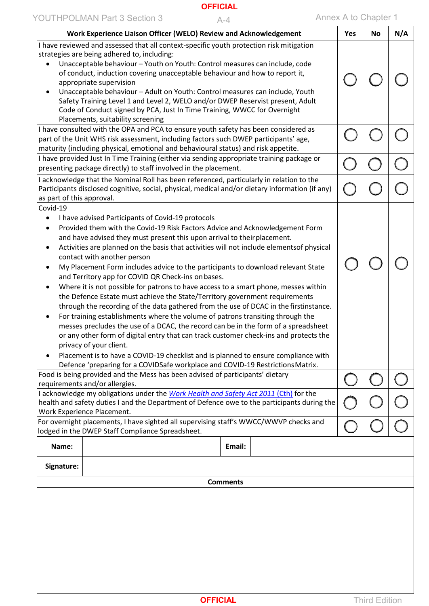| Work Experience Liaison Officer (WELO) Review and Acknowledgement                                                                                                                                                                                                                                                                                                                                                                                                                                                                                                                                                                                                                                                                                                                                                                                                                                                                                                                                                                                                                                                                                                                                                                                                               | Yes | <b>No</b> | N/A |
|---------------------------------------------------------------------------------------------------------------------------------------------------------------------------------------------------------------------------------------------------------------------------------------------------------------------------------------------------------------------------------------------------------------------------------------------------------------------------------------------------------------------------------------------------------------------------------------------------------------------------------------------------------------------------------------------------------------------------------------------------------------------------------------------------------------------------------------------------------------------------------------------------------------------------------------------------------------------------------------------------------------------------------------------------------------------------------------------------------------------------------------------------------------------------------------------------------------------------------------------------------------------------------|-----|-----------|-----|
| I have reviewed and assessed that all context-specific youth protection risk mitigation<br>strategies are being adhered to, including:<br>Unacceptable behaviour - Youth on Youth: Control measures can include, code<br>of conduct, induction covering unacceptable behaviour and how to report it,<br>appropriate supervision<br>Unacceptable behaviour - Adult on Youth: Control measures can include, Youth<br>$\bullet$<br>Safety Training Level 1 and Level 2, WELO and/or DWEP Reservist present, Adult<br>Code of Conduct signed by PCA, Just In Time Training, WWCC for Overnight<br>Placements, suitability screening                                                                                                                                                                                                                                                                                                                                                                                                                                                                                                                                                                                                                                                 |     |           |     |
| I have consulted with the OPA and PCA to ensure youth safety has been considered as<br>part of the Unit WHS risk assessment, including factors such DWEP participants' age,<br>maturity (including physical, emotional and behavioural status) and risk appetite.                                                                                                                                                                                                                                                                                                                                                                                                                                                                                                                                                                                                                                                                                                                                                                                                                                                                                                                                                                                                               |     |           |     |
| I have provided Just In Time Training (either via sending appropriate training package or<br>presenting package directly) to staff involved in the placement.                                                                                                                                                                                                                                                                                                                                                                                                                                                                                                                                                                                                                                                                                                                                                                                                                                                                                                                                                                                                                                                                                                                   |     |           |     |
| I acknowledge that the Nominal Roll has been referenced, particularly in relation to the<br>Participants disclosed cognitive, social, physical, medical and/or dietary information (if any)<br>as part of this approval.                                                                                                                                                                                                                                                                                                                                                                                                                                                                                                                                                                                                                                                                                                                                                                                                                                                                                                                                                                                                                                                        |     |           |     |
| Covid-19<br>I have advised Participants of Covid-19 protocols<br>$\bullet$<br>Provided them with the Covid-19 Risk Factors Advice and Acknowledgement Form<br>٠<br>and have advised they must present this upon arrival to their placement.<br>Activities are planned on the basis that activities will not include elementsof physical<br>$\bullet$<br>contact with another person<br>My Placement Form includes advice to the participants to download relevant State<br>٠<br>and Territory app for COVID QR Check-ins on bases.<br>Where it is not possible for patrons to have access to a smart phone, messes within<br>٠<br>the Defence Estate must achieve the State/Territory government requirements<br>through the recording of the data gathered from the use of DCAC in the firstinstance.<br>For training establishments where the volume of patrons transiting through the<br>٠<br>messes precludes the use of a DCAC, the record can be in the form of a spreadsheet<br>or any other form of digital entry that can track customer check-ins and protects the<br>privacy of your client.<br>Placement is to have a COVID-19 checklist and is planned to ensure compliance with<br>Defence 'preparing for a COVIDSafe workplace and COVID-19 Restrictions Matrix. |     |           |     |
| Food is being provided and the Mess has been advised of participants' dietary<br>requirements and/or allergies.                                                                                                                                                                                                                                                                                                                                                                                                                                                                                                                                                                                                                                                                                                                                                                                                                                                                                                                                                                                                                                                                                                                                                                 |     |           |     |
| I acknowledge my obligations under the Work Health and Safety Act 2011 (Cth) for the<br>health and safety duties I and the Department of Defence owe to the participants during the<br>Work Experience Placement.                                                                                                                                                                                                                                                                                                                                                                                                                                                                                                                                                                                                                                                                                                                                                                                                                                                                                                                                                                                                                                                               |     |           |     |
| For overnight placements, I have sighted all supervising staff's WWCC/WWVP checks and<br>lodged in the DWEP Staff Compliance Spreadsheet.                                                                                                                                                                                                                                                                                                                                                                                                                                                                                                                                                                                                                                                                                                                                                                                                                                                                                                                                                                                                                                                                                                                                       |     |           |     |
| Name:<br>Email:                                                                                                                                                                                                                                                                                                                                                                                                                                                                                                                                                                                                                                                                                                                                                                                                                                                                                                                                                                                                                                                                                                                                                                                                                                                                 |     |           |     |
| Signature:                                                                                                                                                                                                                                                                                                                                                                                                                                                                                                                                                                                                                                                                                                                                                                                                                                                                                                                                                                                                                                                                                                                                                                                                                                                                      |     |           |     |
| <b>Comments</b>                                                                                                                                                                                                                                                                                                                                                                                                                                                                                                                                                                                                                                                                                                                                                                                                                                                                                                                                                                                                                                                                                                                                                                                                                                                                 |     |           |     |
|                                                                                                                                                                                                                                                                                                                                                                                                                                                                                                                                                                                                                                                                                                                                                                                                                                                                                                                                                                                                                                                                                                                                                                                                                                                                                 |     |           |     |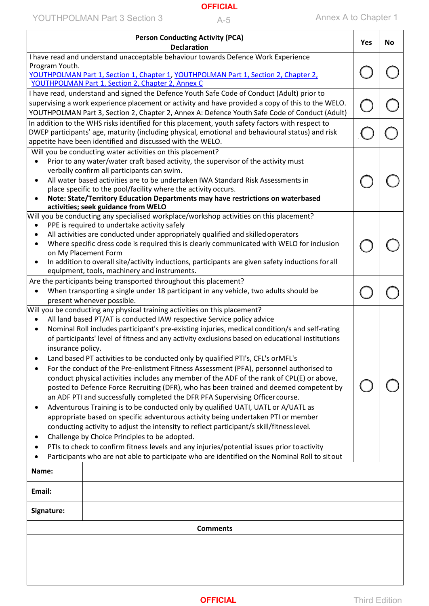| <b>Person Conducting Activity (PCA)</b><br><b>Declaration</b>                                                                                                                                                                                                      | Yes | <b>No</b> |  |  |
|--------------------------------------------------------------------------------------------------------------------------------------------------------------------------------------------------------------------------------------------------------------------|-----|-----------|--|--|
| I have read and understand unacceptable behaviour towards Defence Work Experience                                                                                                                                                                                  |     |           |  |  |
| Program Youth.<br>YOUTHPOLMAN Part 1, Section 1, Chapter 1, YOUTHPOLMAN Part 1, Section 2, Chapter 2,<br>YOUTHPOLMAN Part 1, Section 2, Chapter 2, Annex C                                                                                                         |     |           |  |  |
| I have read, understand and signed the Defence Youth Safe Code of Conduct (Adult) prior to                                                                                                                                                                         |     |           |  |  |
| supervising a work experience placement or activity and have provided a copy of this to the WELO.<br>YOUTHPOLMAN Part 3, Section 2, Chapter 2, Annex A: Defence Youth Safe Code of Conduct (Adult)                                                                 |     |           |  |  |
| In addition to the WHS risks identified for this placement, youth safety factors with respect to<br>DWEP participants' age, maturity (including physical, emotional and behavioural status) and risk<br>appetite have been identified and discussed with the WELO. |     |           |  |  |
| Will you be conducting water activities on this placement?                                                                                                                                                                                                         |     |           |  |  |
| Prior to any water/water craft based activity, the supervisor of the activity must<br>$\bullet$                                                                                                                                                                    |     |           |  |  |
| verbally confirm all participants can swim.                                                                                                                                                                                                                        |     |           |  |  |
| All water based activities are to be undertaken IWA Standard Risk Assessments in<br>$\bullet$                                                                                                                                                                      |     |           |  |  |
| place specific to the pool/facility where the activity occurs.                                                                                                                                                                                                     |     |           |  |  |
| Note: State/Territory Education Departments may have restrictions on waterbased<br>٠<br>activities; seek guidance from WELO                                                                                                                                        |     |           |  |  |
| Will you be conducting any specialised workplace/workshop activities on this placement?                                                                                                                                                                            |     |           |  |  |
| PPE is required to undertake activity safely<br>$\bullet$                                                                                                                                                                                                          |     |           |  |  |
| All activities are conducted under appropriately qualified and skilled operators                                                                                                                                                                                   |     |           |  |  |
| Where specific dress code is required this is clearly communicated with WELO for inclusion<br>٠                                                                                                                                                                    |     |           |  |  |
| on My Placement Form                                                                                                                                                                                                                                               |     |           |  |  |
| In addition to overall site/activity inductions, participants are given safety inductions for all<br>$\bullet$                                                                                                                                                     |     |           |  |  |
| equipment, tools, machinery and instruments.                                                                                                                                                                                                                       |     |           |  |  |
| Are the participants being transported throughout this placement?                                                                                                                                                                                                  |     |           |  |  |
| When transporting a single under 18 participant in any vehicle, two adults should be<br>٠                                                                                                                                                                          |     |           |  |  |
| present whenever possible.<br>Will you be conducting any physical training activities on this placement?                                                                                                                                                           |     |           |  |  |
| All land based PT/AT is conducted IAW respective Service policy advice                                                                                                                                                                                             |     |           |  |  |
| Nominal Roll includes participant's pre-existing injuries, medical condition/s and self-rating                                                                                                                                                                     |     |           |  |  |
| of participants' level of fitness and any activity exclusions based on educational institutions                                                                                                                                                                    |     |           |  |  |
| insurance policy.                                                                                                                                                                                                                                                  |     |           |  |  |
| Land based PT activities to be conducted only by qualified PTI's, CFL's or MFL's                                                                                                                                                                                   |     |           |  |  |
| For the conduct of the Pre-enlistment Fitness Assessment (PFA), personnel authorised to                                                                                                                                                                            |     |           |  |  |
| conduct physical activities includes any member of the ADF of the rank of CPL(E) or above,                                                                                                                                                                         |     |           |  |  |
| posted to Defence Force Recruiting (DFR), who has been trained and deemed competent by                                                                                                                                                                             |     |           |  |  |
| an ADF PTI and successfully completed the DFR PFA Supervising Officer course.                                                                                                                                                                                      |     |           |  |  |
| Adventurous Training is to be conducted only by qualified UATI, UATL or A/UATL as<br>٠                                                                                                                                                                             |     |           |  |  |
| appropriate based on specific adventurous activity being undertaken PTI or member                                                                                                                                                                                  |     |           |  |  |
| conducting activity to adjust the intensity to reflect participant/s skill/fitness level.                                                                                                                                                                          |     |           |  |  |
| Challenge by Choice Principles to be adopted.                                                                                                                                                                                                                      |     |           |  |  |
| PTIs to check to confirm fitness levels and any injuries/potential issues prior to activity                                                                                                                                                                        |     |           |  |  |
| Participants who are not able to participate who are identified on the Nominal Roll to sit out<br>٠                                                                                                                                                                |     |           |  |  |
| Name:                                                                                                                                                                                                                                                              |     |           |  |  |
| Email:                                                                                                                                                                                                                                                             |     |           |  |  |
| Signature:                                                                                                                                                                                                                                                         |     |           |  |  |
| <b>Comments</b>                                                                                                                                                                                                                                                    |     |           |  |  |
|                                                                                                                                                                                                                                                                    |     |           |  |  |
|                                                                                                                                                                                                                                                                    |     |           |  |  |
|                                                                                                                                                                                                                                                                    |     |           |  |  |
|                                                                                                                                                                                                                                                                    |     |           |  |  |
|                                                                                                                                                                                                                                                                    |     |           |  |  |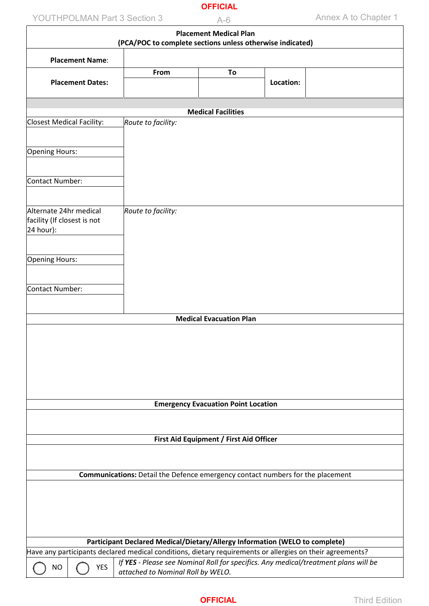# YOUTHPOLMAN Part 3 Section 3 A-6 Annex A to Chapter 1

|                             | <b>Placement Medical Plan</b><br>(PCA/POC to complete sections unless otherwise indicated) |                                                                                                                          |                                            |           |  |  |  |
|-----------------------------|--------------------------------------------------------------------------------------------|--------------------------------------------------------------------------------------------------------------------------|--------------------------------------------|-----------|--|--|--|
|                             |                                                                                            |                                                                                                                          |                                            |           |  |  |  |
|                             | <b>Placement Name:</b>                                                                     |                                                                                                                          |                                            |           |  |  |  |
|                             |                                                                                            | From                                                                                                                     | To                                         |           |  |  |  |
|                             | <b>Placement Dates:</b>                                                                    |                                                                                                                          |                                            | Location: |  |  |  |
|                             |                                                                                            |                                                                                                                          |                                            |           |  |  |  |
|                             |                                                                                            |                                                                                                                          | <b>Medical Facilities</b>                  |           |  |  |  |
| Closest Medical Facility:   |                                                                                            | Route to facility:                                                                                                       |                                            |           |  |  |  |
|                             |                                                                                            |                                                                                                                          |                                            |           |  |  |  |
| Opening Hours:              |                                                                                            |                                                                                                                          |                                            |           |  |  |  |
|                             |                                                                                            |                                                                                                                          |                                            |           |  |  |  |
|                             |                                                                                            |                                                                                                                          |                                            |           |  |  |  |
| Contact Number:             |                                                                                            |                                                                                                                          |                                            |           |  |  |  |
|                             |                                                                                            |                                                                                                                          |                                            |           |  |  |  |
| Alternate 24hr medical      |                                                                                            | Route to facility:                                                                                                       |                                            |           |  |  |  |
| facility (If closest is not |                                                                                            |                                                                                                                          |                                            |           |  |  |  |
| 24 hour):                   |                                                                                            |                                                                                                                          |                                            |           |  |  |  |
|                             |                                                                                            |                                                                                                                          |                                            |           |  |  |  |
| Opening Hours:              |                                                                                            |                                                                                                                          |                                            |           |  |  |  |
|                             |                                                                                            |                                                                                                                          |                                            |           |  |  |  |
|                             |                                                                                            |                                                                                                                          |                                            |           |  |  |  |
| Contact Number:             |                                                                                            |                                                                                                                          |                                            |           |  |  |  |
|                             |                                                                                            |                                                                                                                          |                                            |           |  |  |  |
|                             |                                                                                            |                                                                                                                          | <b>Medical Evacuation Plan</b>             |           |  |  |  |
|                             |                                                                                            |                                                                                                                          |                                            |           |  |  |  |
|                             |                                                                                            |                                                                                                                          |                                            |           |  |  |  |
|                             |                                                                                            |                                                                                                                          |                                            |           |  |  |  |
|                             |                                                                                            |                                                                                                                          |                                            |           |  |  |  |
|                             |                                                                                            |                                                                                                                          |                                            |           |  |  |  |
|                             |                                                                                            |                                                                                                                          |                                            |           |  |  |  |
|                             |                                                                                            |                                                                                                                          | <b>Emergency Evacuation Point Location</b> |           |  |  |  |
|                             |                                                                                            |                                                                                                                          |                                            |           |  |  |  |
|                             |                                                                                            |                                                                                                                          |                                            |           |  |  |  |
|                             |                                                                                            |                                                                                                                          | First Aid Equipment / First Aid Officer    |           |  |  |  |
|                             |                                                                                            |                                                                                                                          |                                            |           |  |  |  |
|                             |                                                                                            |                                                                                                                          |                                            |           |  |  |  |
|                             |                                                                                            | Communications: Detail the Defence emergency contact numbers for the placement                                           |                                            |           |  |  |  |
|                             |                                                                                            |                                                                                                                          |                                            |           |  |  |  |
|                             |                                                                                            |                                                                                                                          |                                            |           |  |  |  |
|                             |                                                                                            |                                                                                                                          |                                            |           |  |  |  |
|                             |                                                                                            |                                                                                                                          |                                            |           |  |  |  |
|                             |                                                                                            |                                                                                                                          |                                            |           |  |  |  |
|                             |                                                                                            | Participant Declared Medical/Dietary/Allergy Information (WELO to complete)                                              |                                            |           |  |  |  |
|                             |                                                                                            | Have any participants declared medical conditions, dietary requirements or allergies on their agreements?                |                                            |           |  |  |  |
| <b>NO</b>                   | <b>YES</b>                                                                                 | If YES - Please see Nominal Roll for specifics. Any medical/treatment plans will be<br>attached to Nominal Roll by WELO. |                                            |           |  |  |  |
|                             |                                                                                            |                                                                                                                          |                                            |           |  |  |  |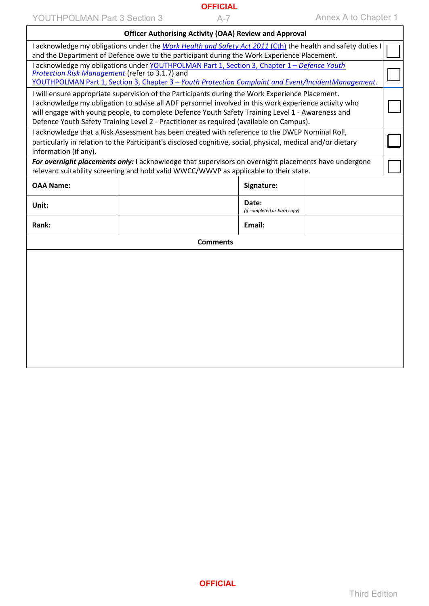YOUTHPOLMAN Part 3 Section 3 A-7 Annex A to Chapter 1

 $\overline{1}$ 

|                                                                                                                                                | <b>Officer Authorising Activity (OAA) Review and Approval</b>                                                                                                                                             |                                      |  |  |  |  |  |  |
|------------------------------------------------------------------------------------------------------------------------------------------------|-----------------------------------------------------------------------------------------------------------------------------------------------------------------------------------------------------------|--------------------------------------|--|--|--|--|--|--|
|                                                                                                                                                | I acknowledge my obligations under the Work Health and Safety Act 2011 (Cth) the health and safety duties I<br>and the Department of Defence owe to the participant during the Work Experience Placement. |                                      |  |  |  |  |  |  |
|                                                                                                                                                |                                                                                                                                                                                                           |                                      |  |  |  |  |  |  |
| I acknowledge my obligations under YOUTHPOLMAN Part 1, Section 3, Chapter 1 - Defence Youth<br>Protection Risk Management (refer to 3.1.7) and |                                                                                                                                                                                                           |                                      |  |  |  |  |  |  |
| YOUTHPOLMAN Part 1, Section 3, Chapter 3 - Youth Protection Complaint and Event/IncidentManagement.                                            |                                                                                                                                                                                                           |                                      |  |  |  |  |  |  |
| I will ensure appropriate supervision of the Participants during the Work Experience Placement.                                                |                                                                                                                                                                                                           |                                      |  |  |  |  |  |  |
|                                                                                                                                                | I acknowledge my obligation to advise all ADF personnel involved in this work experience activity who                                                                                                     |                                      |  |  |  |  |  |  |
|                                                                                                                                                | will engage with young people, to complete Defence Youth Safety Training Level 1 - Awareness and<br>Defence Youth Safety Training Level 2 - Practitioner as required (available on Campus).               |                                      |  |  |  |  |  |  |
|                                                                                                                                                | I acknowledge that a Risk Assessment has been created with reference to the DWEP Nominal Roll,                                                                                                            |                                      |  |  |  |  |  |  |
|                                                                                                                                                | particularly in relation to the Participant's disclosed cognitive, social, physical, medical and/or dietary                                                                                               |                                      |  |  |  |  |  |  |
| information (if any).                                                                                                                          |                                                                                                                                                                                                           |                                      |  |  |  |  |  |  |
|                                                                                                                                                | For overnight placements only: I acknowledge that supervisors on overnight placements have undergone                                                                                                      |                                      |  |  |  |  |  |  |
|                                                                                                                                                | relevant suitability screening and hold valid WWCC/WWVP as applicable to their state.                                                                                                                     |                                      |  |  |  |  |  |  |
| <b>OAA Name:</b>                                                                                                                               |                                                                                                                                                                                                           | Signature:                           |  |  |  |  |  |  |
| Unit:                                                                                                                                          |                                                                                                                                                                                                           | Date:<br>(if completed as hard copy) |  |  |  |  |  |  |
| Rank:                                                                                                                                          |                                                                                                                                                                                                           | Email:                               |  |  |  |  |  |  |
|                                                                                                                                                | <b>Comments</b>                                                                                                                                                                                           |                                      |  |  |  |  |  |  |
|                                                                                                                                                |                                                                                                                                                                                                           |                                      |  |  |  |  |  |  |
|                                                                                                                                                |                                                                                                                                                                                                           |                                      |  |  |  |  |  |  |
|                                                                                                                                                |                                                                                                                                                                                                           |                                      |  |  |  |  |  |  |
|                                                                                                                                                |                                                                                                                                                                                                           |                                      |  |  |  |  |  |  |
|                                                                                                                                                |                                                                                                                                                                                                           |                                      |  |  |  |  |  |  |
|                                                                                                                                                |                                                                                                                                                                                                           |                                      |  |  |  |  |  |  |
|                                                                                                                                                |                                                                                                                                                                                                           |                                      |  |  |  |  |  |  |
|                                                                                                                                                |                                                                                                                                                                                                           |                                      |  |  |  |  |  |  |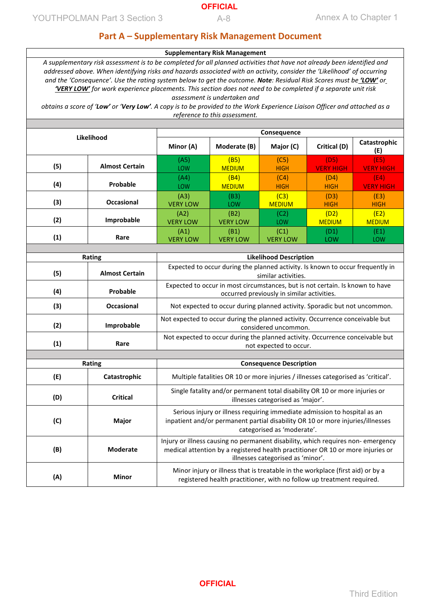## **Part A – Supplementary Risk Management Document**

#### **Supplementary Risk Management**

*A supplementary risk assessment is to be completed for all planned activities that have not already been identified and addressed above. When identifying risks and hazards associated with an activity, consider the 'Likelihood' of occurring and the 'Consequence'. Use the rating system below to get the outcome. Note: Residual Risk Scores must be 'LOW' or 'VERY LOW' for work experience placements. This section does not need to be completed if a separate unit risk assessment is undertaken and*

*obtains a score of 'Low' or 'Very Low'. A copy is to be provided to the Work Experience Liaison Officer and attached as a reference to this assessment.*

| Likelihood |                       | Consequence             |                         |                         |                          |                          |  |
|------------|-----------------------|-------------------------|-------------------------|-------------------------|--------------------------|--------------------------|--|
|            |                       | Minor (A)               | Moderate (B)            | Major (C)               | Critical (D)             | Catastrophic<br>(E)      |  |
| (5)        | <b>Almost Certain</b> | (A5)<br><b>LOW</b>      | (B5)<br><b>MEDIUM</b>   | (C5)<br><b>HIGH</b>     | (D5)<br><b>VERY HIGH</b> | (E5)<br><b>VERY HIGH</b> |  |
| (4)        | Probable              | (A4)<br><b>LOW</b>      | (B4)<br><b>MEDIUM</b>   | (C4)<br><b>HIGH</b>     | (D4)<br><b>HIGH</b>      | (E4)<br><b>VERY HIGH</b> |  |
| (3)        | <b>Occasional</b>     | (A3)<br><b>VERY LOW</b> | (B3)<br>LOW             | (C3)<br><b>MEDIUM</b>   | (D3)<br><b>HIGH</b>      | (E3)<br><b>HIGH</b>      |  |
| (2)        | Improbable            | (A2)<br><b>VERY LOW</b> | (B2)<br><b>VERY LOW</b> | (C2)<br>LOW             | (D2)<br><b>MEDIUM</b>    | (E2)<br><b>MEDIUM</b>    |  |
| (1)        | Rare                  | (A1)<br><b>VERY LOW</b> | (B1)<br><b>VERY LOW</b> | (C1)<br><b>VERY LOW</b> | (D1)<br>LOW              | (E1)<br>LOW              |  |

| Rating                 |                       | <b>Likelihood Description</b>                                                                                                                                                                            |  |
|------------------------|-----------------------|----------------------------------------------------------------------------------------------------------------------------------------------------------------------------------------------------------|--|
| (5)                    | <b>Almost Certain</b> | Expected to occur during the planned activity. Is known to occur frequently in<br>similar activities.                                                                                                    |  |
| (4)                    | Probable              | Expected to occur in most circumstances, but is not certain. Is known to have<br>occurred previously in similar activities.                                                                              |  |
| (3)                    | <b>Occasional</b>     | Not expected to occur during planned activity. Sporadic but not uncommon.                                                                                                                                |  |
| (2)                    | Improbable            | Not expected to occur during the planned activity. Occurrence conceivable but<br>considered uncommon.                                                                                                    |  |
| (1)                    | Rare                  | Not expected to occur during the planned activity. Occurrence conceivable but<br>not expected to occur.<br><b>Consequence Description</b>                                                                |  |
|                        |                       |                                                                                                                                                                                                          |  |
|                        | Rating                |                                                                                                                                                                                                          |  |
| (E)<br>Catastrophic    |                       | Multiple fatalities OR 10 or more injuries / illnesses categorised as 'critical'.                                                                                                                        |  |
| (D)                    | <b>Critical</b>       | Single fatality and/or permanent total disability OR 10 or more injuries or<br>illnesses categorised as 'major'.                                                                                         |  |
| (C)<br>Major           |                       | Serious injury or illness requiring immediate admission to hospital as an<br>inpatient and/or permanent partial disability OR 10 or more injuries/illnesses<br>categorised as 'moderate'.                |  |
| (B)<br><b>Moderate</b> |                       | Injury or illness causing no permanent disability, which requires non- emergency<br>medical attention by a registered health practitioner OR 10 or more injuries or<br>illnesses categorised as 'minor'. |  |
| (A)<br><b>Minor</b>    |                       | Minor injury or illness that is treatable in the workplace (first aid) or by a                                                                                                                           |  |